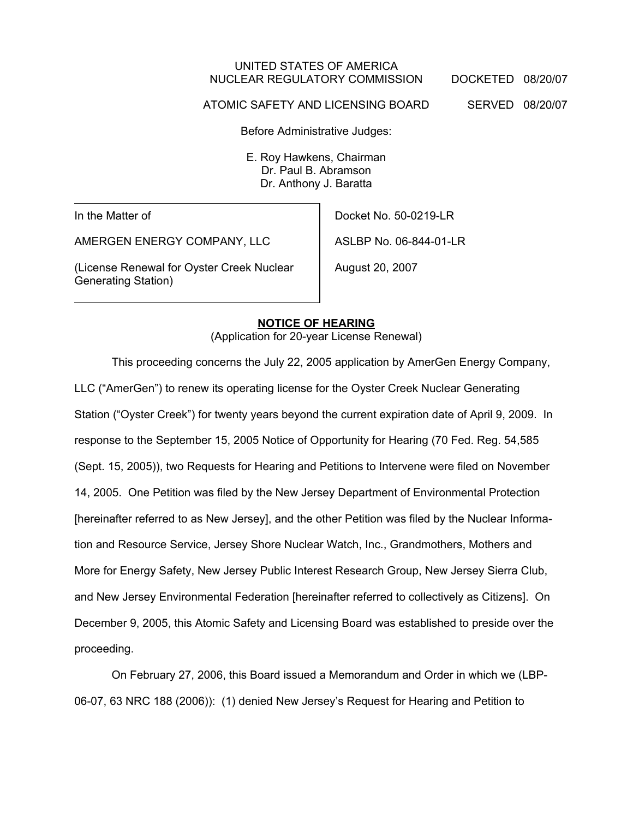### UNITED STATES OF AMERICA NUCLEAR REGULATORY COMMISSION DOCKETED 08/20/07

ATOMIC SAFETY AND LICENSING BOARD SERVED 08/20/07

Before Administrative Judges:

E. Roy Hawkens, Chairman Dr. Paul B. Abramson Dr. Anthony J. Baratta

In the Matter of

AMERGEN ENERGY COMPANY, LLC

(License Renewal for Oyster Creek Nuclear Generating Station)

Docket No. 50-0219-LR

ASLBP No. 06-844-01-LR

August 20, 2007

#### **NOTICE OF HEARING**

(Application for 20-year License Renewal)

This proceeding concerns the July 22, 2005 application by AmerGen Energy Company, LLC ("AmerGen") to renew its operating license for the Oyster Creek Nuclear Generating Station ("Oyster Creek") for twenty years beyond the current expiration date of April 9, 2009. In response to the September 15, 2005 Notice of Opportunity for Hearing (70 Fed. Reg. 54,585 (Sept. 15, 2005)), two Requests for Hearing and Petitions to Intervene were filed on November 14, 2005. One Petition was filed by the New Jersey Department of Environmental Protection [hereinafter referred to as New Jersey], and the other Petition was filed by the Nuclear Information and Resource Service, Jersey Shore Nuclear Watch, Inc., Grandmothers, Mothers and More for Energy Safety, New Jersey Public Interest Research Group, New Jersey Sierra Club, and New Jersey Environmental Federation [hereinafter referred to collectively as Citizens]. On December 9, 2005, this Atomic Safety and Licensing Board was established to preside over the proceeding.

On February 27, 2006, this Board issued a Memorandum and Order in which we (LBP-06-07, 63 NRC 188 (2006)): (1) denied New Jersey's Request for Hearing and Petition to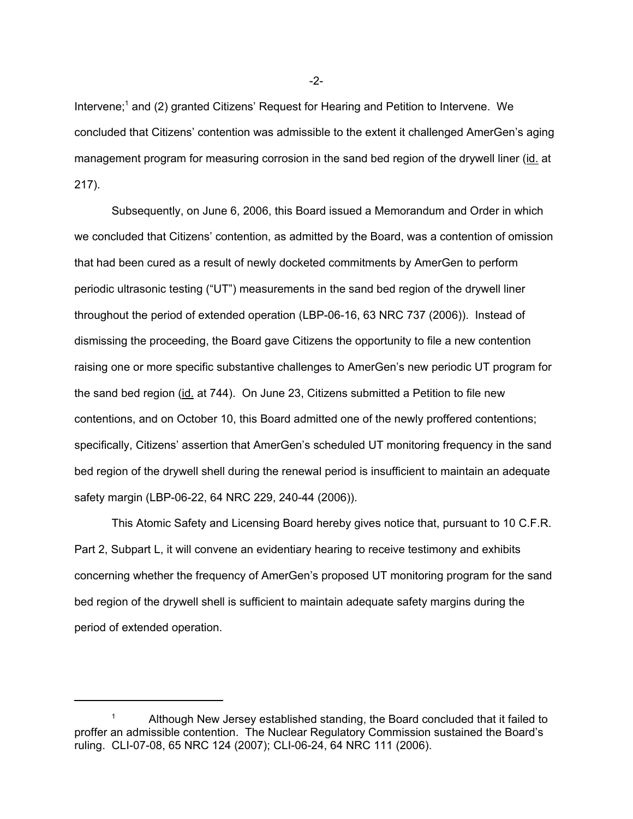Intervene;<sup>1</sup> and (2) granted Citizens' Request for Hearing and Petition to Intervene. We concluded that Citizens' contention was admissible to the extent it challenged AmerGen's aging management program for measuring corrosion in the sand bed region of the drywell liner (id. at 217).

Subsequently, on June 6, 2006, this Board issued a Memorandum and Order in which we concluded that Citizens' contention, as admitted by the Board, was a contention of omission that had been cured as a result of newly docketed commitments by AmerGen to perform periodic ultrasonic testing ("UT") measurements in the sand bed region of the drywell liner throughout the period of extended operation (LBP-06-16, 63 NRC 737 (2006)). Instead of dismissing the proceeding, the Board gave Citizens the opportunity to file a new contention raising one or more specific substantive challenges to AmerGen's new periodic UT program for the sand bed region (id. at 744). On June 23, Citizens submitted a Petition to file new contentions, and on October 10, this Board admitted one of the newly proffered contentions; specifically, Citizens' assertion that AmerGen's scheduled UT monitoring frequency in the sand bed region of the drywell shell during the renewal period is insufficient to maintain an adequate safety margin (LBP-06-22, 64 NRC 229, 240-44 (2006)).

This Atomic Safety and Licensing Board hereby gives notice that, pursuant to 10 C.F.R. Part 2, Subpart L, it will convene an evidentiary hearing to receive testimony and exhibits concerning whether the frequency of AmerGen's proposed UT monitoring program for the sand bed region of the drywell shell is sufficient to maintain adequate safety margins during the period of extended operation.

-2-

<sup>1</sup> Although New Jersey established standing, the Board concluded that it failed to proffer an admissible contention. The Nuclear Regulatory Commission sustained the Board's ruling. CLI-07-08, 65 NRC 124 (2007); CLI-06-24, 64 NRC 111 (2006).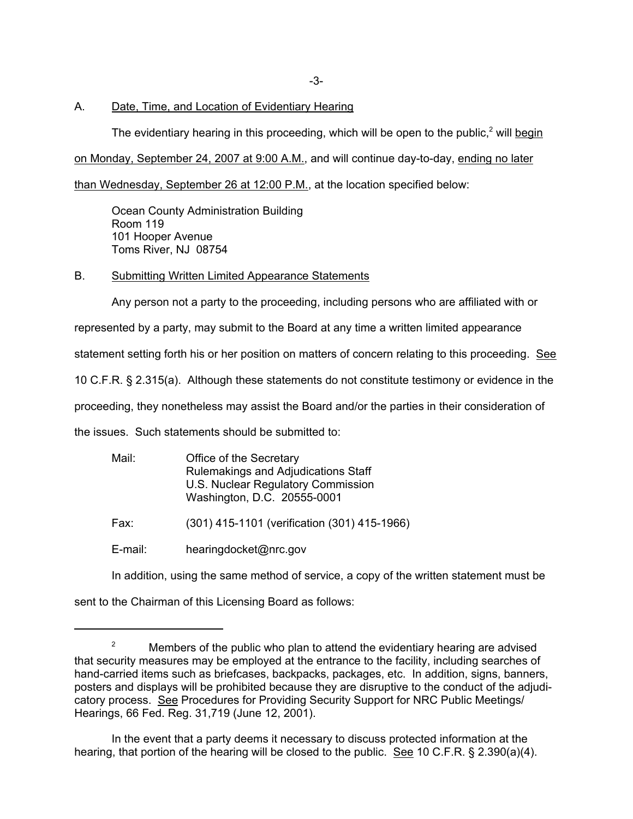-3-

#### A. Date, Time, and Location of Evidentiary Hearing

The evidentiary hearing in this proceeding, which will be open to the public,<sup>2</sup> will begin

on Monday, September 24, 2007 at 9:00 A.M., and will continue day-to-day, ending no later

than Wednesday, September 26 at 12:00 P.M., at the location specified below:

Ocean County Administration Building Room 119 101 Hooper Avenue Toms River, NJ 08754

#### B. Submitting Written Limited Appearance Statements

Any person not a party to the proceeding, including persons who are affiliated with or

represented by a party, may submit to the Board at any time a written limited appearance

statement setting forth his or her position on matters of concern relating to this proceeding. See

10 C.F.R. § 2.315(a). Although these statements do not constitute testimony or evidence in the

proceeding, they nonetheless may assist the Board and/or the parties in their consideration of

the issues. Such statements should be submitted to:

| Mail: | Office of the Secretary<br>Rulemakings and Adjudications Staff<br>U.S. Nuclear Regulatory Commission<br>Washington, D.C. 20555-0001 |
|-------|-------------------------------------------------------------------------------------------------------------------------------------|
| Fax:  | (301) 415-1101 (verification (301) 415-1966)                                                                                        |

- 
- E-mail: hearingdocket@nrc.gov

In addition, using the same method of service, a copy of the written statement must be

sent to the Chairman of this Licensing Board as follows:

<sup>&</sup>lt;sup>2</sup> Members of the public who plan to attend the evidentiary hearing are advised that security measures may be employed at the entrance to the facility, including searches of hand-carried items such as briefcases, backpacks, packages, etc. In addition, signs, banners, posters and displays will be prohibited because they are disruptive to the conduct of the adjudicatory process. See Procedures for Providing Security Support for NRC Public Meetings/ Hearings, 66 Fed. Reg. 31,719 (June 12, 2001).

In the event that a party deems it necessary to discuss protected information at the hearing, that portion of the hearing will be closed to the public. See 10 C.F.R. § 2.390(a)(4).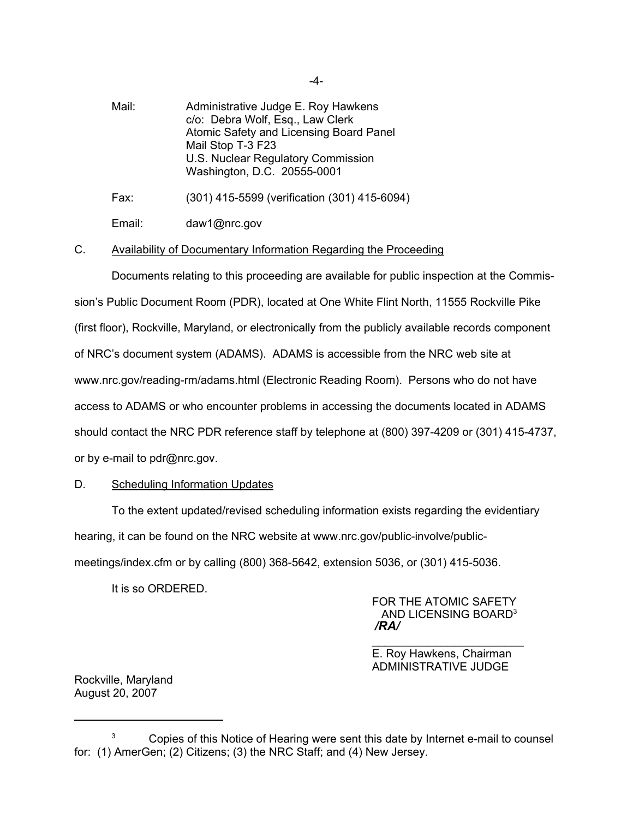Mail: Administrative Judge E. Roy Hawkens c/o: Debra Wolf, Esq., Law Clerk Atomic Safety and Licensing Board Panel Mail Stop T-3 F23 U.S. Nuclear Regulatory Commission Washington, D.C. 20555-0001

Fax: (301) 415-5599 (verification (301) 415-6094)

Email: daw1@nrc.gov

### C. Availability of Documentary Information Regarding the Proceeding

Documents relating to this proceeding are available for public inspection at the Commission's Public Document Room (PDR), located at One White Flint North, 11555 Rockville Pike (first floor), Rockville, Maryland, or electronically from the publicly available records component of NRC's document system (ADAMS). ADAMS is accessible from the NRC web site at www.nrc.gov/reading-rm/adams.html (Electronic Reading Room). Persons who do not have access to ADAMS or who encounter problems in accessing the documents located in ADAMS should contact the NRC PDR reference staff by telephone at (800) 397-4209 or (301) 415-4737, or by e-mail to pdr@nrc.gov.

# D. Scheduling Information Updates

To the extent updated/revised scheduling information exists regarding the evidentiary hearing, it can be found on the NRC website at www.nrc.gov/public-involve/publicmeetings/index.cfm or by calling (800) 368-5642, extension 5036, or (301) 415-5036.

It is so ORDERED.

FOR THE ATOMIC SAFETY AND LICENSING BOARD3 */RA/*

\_\_\_\_\_\_\_\_\_\_\_\_\_\_\_\_\_\_\_\_\_\_\_\_ E. Roy Hawkens, Chairman ADMINISTRATIVE JUDGE

Rockville, Maryland August 20, 2007

-4-

<sup>&</sup>lt;sup>3</sup> Copies of this Notice of Hearing were sent this date by Internet e-mail to counsel for: (1) AmerGen; (2) Citizens; (3) the NRC Staff; and (4) New Jersey.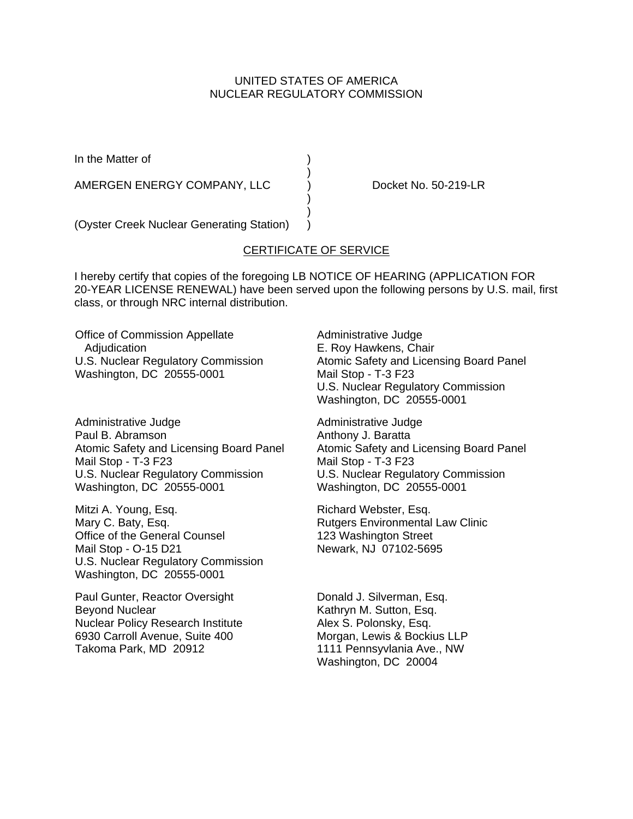# UNITED STATES OF AMERICA NUCLEAR REGULATORY COMMISSION

In the Matter of (a)

AMERGEN ENERGY COMPANY, LLC ) Docket No. 50-219-LR

(Oyster Creek Nuclear Generating Station) )

# CERTIFICATE OF SERVICE

)

 $\rightarrow$ )

I hereby certify that copies of the foregoing LB NOTICE OF HEARING (APPLICATION FOR 20-YEAR LICENSE RENEWAL) have been served upon the following persons by U.S. mail, first class, or through NRC internal distribution.

Office of Commission Appellate Adjudication U.S. Nuclear Regulatory Commission Washington, DC 20555-0001

Administrative Judge Paul B. Abramson Atomic Safety and Licensing Board Panel Mail Stop - T-3 F23 U.S. Nuclear Regulatory Commission Washington, DC 20555-0001

Mitzi A. Young, Esq. Mary C. Baty, Esq. Office of the General Counsel Mail Stop - O-15 D21 U.S. Nuclear Regulatory Commission Washington, DC 20555-0001

Paul Gunter, Reactor Oversight Beyond Nuclear Nuclear Policy Research Institute 6930 Carroll Avenue, Suite 400 Takoma Park, MD 20912

Administrative Judge E. Roy Hawkens, Chair Atomic Safety and Licensing Board Panel Mail Stop - T-3 F23 U.S. Nuclear Regulatory Commission Washington, DC 20555-0001

Administrative Judge Anthony J. Baratta Atomic Safety and Licensing Board Panel Mail Stop - T-3 F23 U.S. Nuclear Regulatory Commission Washington, DC 20555-0001

Richard Webster, Esq. Rutgers Environmental Law Clinic 123 Washington Street Newark, NJ 07102-5695

Donald J. Silverman, Esq. Kathryn M. Sutton, Esq. Alex S. Polonsky, Esq. Morgan, Lewis & Bockius LLP 1111 Pennsyvlania Ave., NW Washington, DC 20004